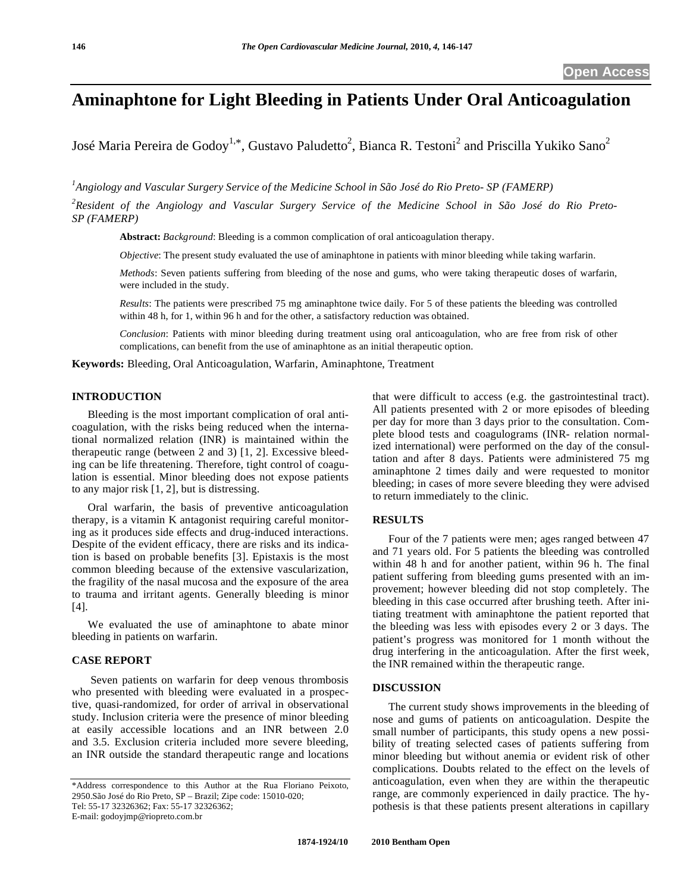# **Aminaphtone for Light Bleeding in Patients Under Oral Anticoagulation**

José Maria Pereira de Godoy<sup>1,\*</sup>, Gustavo Paludetto<sup>2</sup>, Bianca R. Testoni<sup>2</sup> and Priscilla Yukiko Sano<sup>2</sup>

*1 Angiology and Vascular Surgery Service of the Medicine School in São José do Rio Preto- SP (FAMERP)* 

*2 Resident of the Angiology and Vascular Surgery Service of the Medicine School in São José do Rio Preto-SP (FAMERP)* 

**Abstract:** *Background*: Bleeding is a common complication of oral anticoagulation therapy.

*Objective*: The present study evaluated the use of aminaphtone in patients with minor bleeding while taking warfarin.

*Methods*: Seven patients suffering from bleeding of the nose and gums, who were taking therapeutic doses of warfarin, were included in the study.

*Results*: The patients were prescribed 75 mg aminaphtone twice daily. For 5 of these patients the bleeding was controlled within 48 h, for 1, within 96 h and for the other, a satisfactory reduction was obtained.

*Conclusion*: Patients with minor bleeding during treatment using oral anticoagulation, who are free from risk of other complications, can benefit from the use of aminaphtone as an initial therapeutic option.

**Keywords:** Bleeding, Oral Anticoagulation, Warfarin, Aminaphtone, Treatment

# **INTRODUCTION**

 Bleeding is the most important complication of oral anticoagulation, with the risks being reduced when the international normalized relation (INR) is maintained within the therapeutic range (between 2 and 3) [1, 2]. Excessive bleeding can be life threatening. Therefore, tight control of coagulation is essential. Minor bleeding does not expose patients to any major risk [1, 2], but is distressing.

 Oral warfarin, the basis of preventive anticoagulation therapy, is a vitamin K antagonist requiring careful monitoring as it produces side effects and drug-induced interactions. Despite of the evident efficacy, there are risks and its indication is based on probable benefits [3]. Epistaxis is the most common bleeding because of the extensive vascularization, the fragility of the nasal mucosa and the exposure of the area to trauma and irritant agents. Generally bleeding is minor [4].

 We evaluated the use of aminaphtone to abate minor bleeding in patients on warfarin.

#### **CASE REPORT**

Seven patients on warfarin for deep venous thrombosis who presented with bleeding were evaluated in a prospective, quasi-randomized, for order of arrival in observational study. Inclusion criteria were the presence of minor bleeding at easily accessible locations and an INR between 2.0 and 3.5. Exclusion criteria included more severe bleeding, an INR outside the standard therapeutic range and locations

that were difficult to access (e.g. the gastrointestinal tract). All patients presented with 2 or more episodes of bleeding per day for more than 3 days prior to the consultation. Complete blood tests and coagulograms (INR- relation normalized international) were performed on the day of the consultation and after 8 days. Patients were administered 75 mg aminaphtone 2 times daily and were requested to monitor bleeding; in cases of more severe bleeding they were advised to return immediately to the clinic.

# **RESULTS**

Four of the 7 patients were men; ages ranged between 47 and 71 years old. For 5 patients the bleeding was controlled within 48 h and for another patient, within 96 h. The final patient suffering from bleeding gums presented with an improvement; however bleeding did not stop completely. The bleeding in this case occurred after brushing teeth. After initiating treatment with aminaphtone the patient reported that the bleeding was less with episodes every 2 or 3 days. The patient's progress was monitored for 1 month without the drug interfering in the anticoagulation. After the first week, the INR remained within the therapeutic range.

#### **DISCUSSION**

 The current study shows improvements in the bleeding of nose and gums of patients on anticoagulation. Despite the small number of participants, this study opens a new possibility of treating selected cases of patients suffering from minor bleeding but without anemia or evident risk of other complications. Doubts related to the effect on the levels of anticoagulation, even when they are within the therapeutic range, are commonly experienced in daily practice. The hypothesis is that these patients present alterations in capillary

<sup>\*</sup>Address correspondence to this Author at the Rua Floriano Peixoto, 2950.São José do Rio Preto, SP – Brazil; Zipe code: 15010-020; Tel: 55-17 32326362; Fax: 55-17 32326362; E-mail: godoyjmp@riopreto.com.br